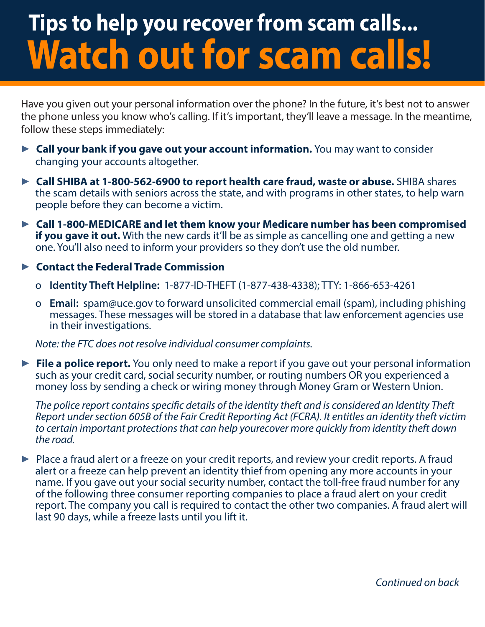# **Tips to help you recover from scam calls... Watch out for scam calls!**

Have you given out your personal information over the phone? In the future, it's best not to answer the phone unless you know who's calling. If it's important, they'll leave a message. In the meantime, follow these steps immediately:

- ▶ Call your bank if you gave out your account information. You may want to consider changing your accounts altogether.
- ▶ **Call SHIBA at 1-800-562-6900 to report health care fraud, waste or abuse.** SHIBA shares the scam details with seniors across the state, and with programs in other states, to help warn people before they can become a victim.
- ▶ Call 1-800-MEDICARE and let them know your Medicare number has been compromised **if you gave it out.** With the new cards it'll be as simple as cancelling one and getting a new one. You'll also need to inform your providers so they don't use the old number.

#### ▶ **Contact the Federal Trade Commission**

- o **Identity Theft Helpline:** 1-877-ID-THEFT (1-877-438-4338); TTY: 1-866-653-4261
- <sup>o</sup> **Email:** spam@uce.gov to forward unsolicited commercial email (spam), including phishing messages. These messages will be stored in a database that law enforcement agencies use in their investigations.

*Note: the FTC does not resolve individual consumer complaints.*

▶ **File a police report.** You only need to make a report if you gave out your personal information such as your credit card, social security number, or routing numbers OR you experienced a money loss by sending a check or wiring money through Money Gram or Western Union.

*The police report contains specific details of the identity theft and is considered an Identity Theft Report under section 605B of the Fair Credit Reporting Act (FCRA). It entitles an identity theft victim to certain important protections that can help yourecover more quickly from identity theft down the road.*

▶ Place a fraud alert or a freeze on your credit reports, and review your credit reports. A fraud alert or a freeze can help prevent an identity thief from opening any more accounts in your name. If you gave out your social security number, contact the toll-free fraud number for any of the following three consumer reporting companies to place a fraud alert on your credit report. The company you call is required to contact the other two companies. A fraud alert will last 90 days, while a freeze lasts until you lift it.